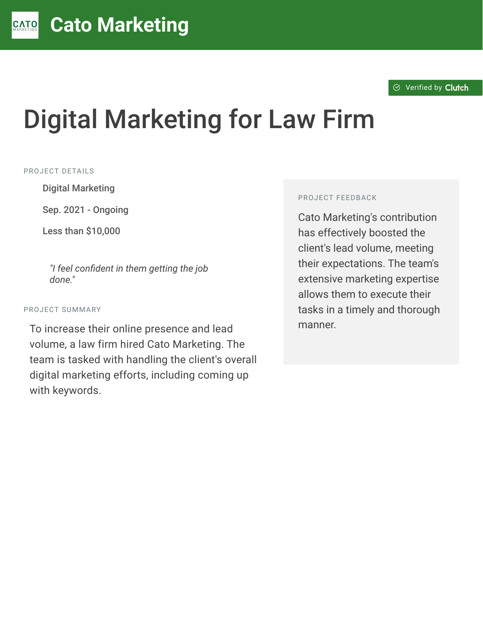# Digital Marketing for Law Firm

#### PROJECT DETAILS

**Digital Marketing** 

Sep. 2021 - Ongoing

Less than \$10,000

"I feel confident in them getting the job *done."*

#### PROJECT SUMMARY

To increase their online presence and lead volume, a law firm hired Cato Marketing. The team is tasked with handling the client's overall digital marketing efforts, including coming up with keywords.

#### PROJECT FEEDBACK

Cato Marketing's contribution has effectively boosted the client's lead volume, meeting their expectations. The team's extensive marketing expertise allows them to execute their tasks in a timely and thorough manner.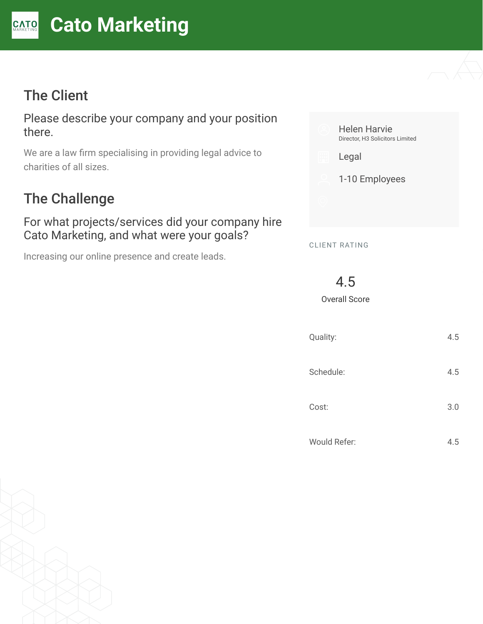# The Client

Please describe your company and your position there.

We are a law firm specialising in providing legal advice to charities of all sizes.

# The Challenge

#### For what projects/services did your company hire Cato Marketing, and what were your goals?

Increasing our online presence and create leads.



4.5

Overall Score

| Quality:     | 4.5 |
|--------------|-----|
| Schedule:    | 4.5 |
| Cost:        | 3.0 |
| Would Refer: | 4.5 |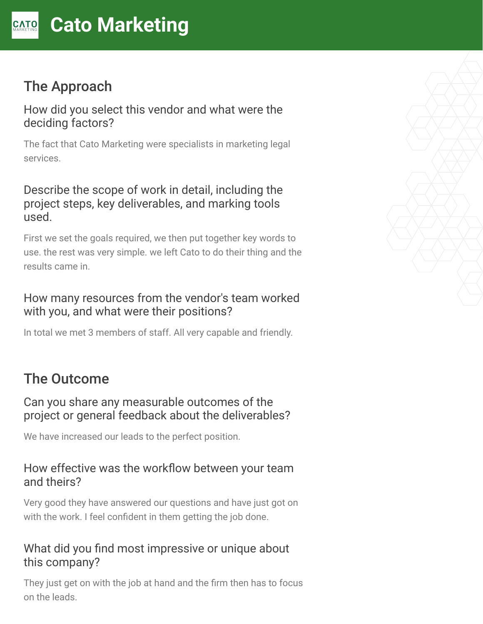# The Approach

How did you select this vendor and what were the deciding factors?

The fact that Cato Marketing were specialists in marketing legal services.

### Describe the scope of work in detail, including the project steps, key deliverables, and marking tools used.

First we set the goals required, we then put together key words to use. the rest was very simple. we left Cato to do their thing and the results came in.

## How many resources from the vendor's team worked with you, and what were their positions?

In total we met 3 members of staff. All very capable and friendly.

# The Outcome

### Can you share any measurable outcomes of the project or general feedback about the deliverables?

We have increased our leads to the perfect position.

### How effective was the workflow between your team and theirs?

Very good they have answered our questions and have just got on with the work. I feel confident in them getting the job done.

# What did you find most impressive or unique about this company?

They just get on with the job at hand and the firm then has to focus on the leads.